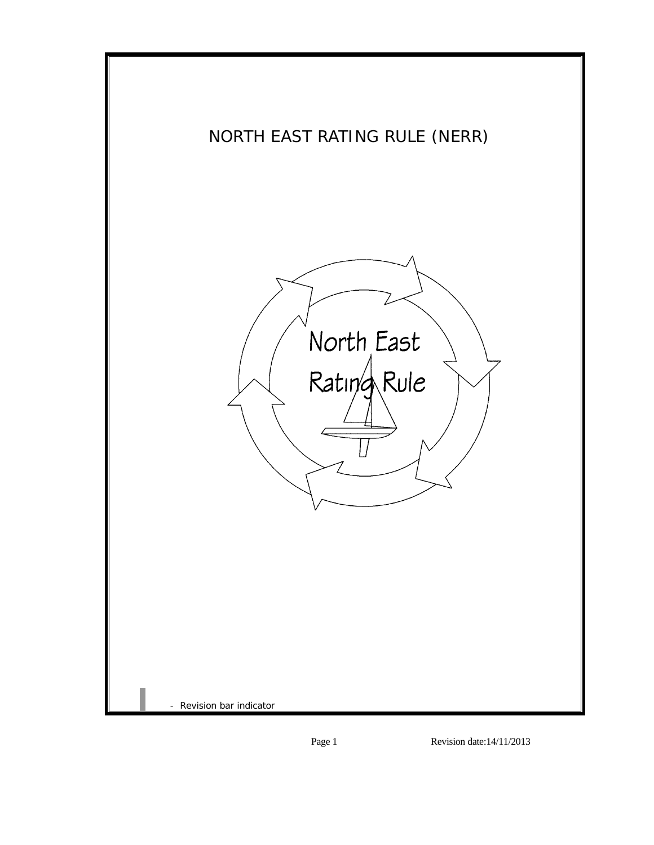

Page 1 Revision date:14/11/2013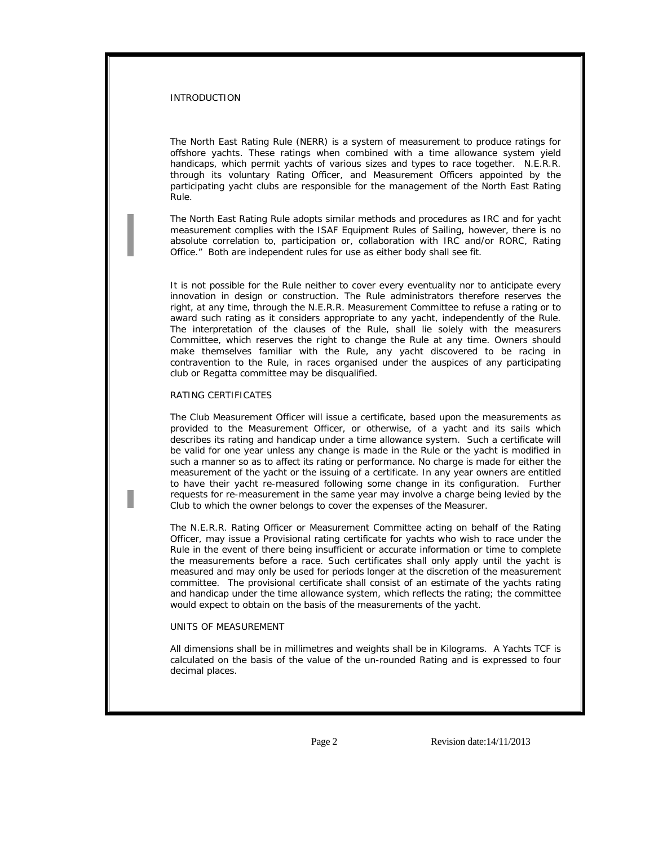#### INTRODUCTION

The North East Rating Rule (NERR) is a system of measurement to produce ratings for offshore yachts. These ratings when combined with a time allowance system yield handicaps, which permit yachts of various sizes and types to race together. N.E.R.R. through its voluntary Rating Officer, and Measurement Officers appointed by the participating yacht clubs are responsible for the management of the North East Rating Rule.

The North East Rating Rule adopts similar methods and procedures as IRC and for yacht measurement complies with the ISAF Equipment Rules of Sailing, however, there is no absolute correlation to, participation or, collaboration with IRC and/or RORC, Rating Office." Both are independent rules for use as either body shall see fit.

It is not possible for the Rule neither to cover every eventuality nor to anticipate every innovation in design or construction. The Rule administrators therefore reserves the right, at any time, through the N.E.R.R. Measurement Committee to refuse a rating or to award such rating as it considers appropriate to any yacht, independently of the Rule. The interpretation of the clauses of the Rule, shall lie solely with the measurers Committee, which reserves the right to change the Rule at any time. Owners should make themselves familiar with the Rule, any yacht discovered to be racing in contravention to the Rule, in races organised under the auspices of any participating club or Regatta committee may be disqualified.

### RATING CERTIFICATES

The Club Measurement Officer will issue a certificate, based upon the measurements as provided to the Measurement Officer, or otherwise, of a yacht and its sails which describes its rating and handicap under a time allowance system. Such a certificate will be valid for one year unless any change is made in the Rule or the yacht is modified in such a manner so as to affect its rating or performance. No charge is made for either the measurement of the yacht or the issuing of a certificate. In any year owners are entitled to have their yacht re-measured following some change in its configuration. Further requests for re-measurement in the same year may involve a charge being levied by the Club to which the owner belongs to cover the expenses of the Measurer.

The N.E.R.R. Rating Officer or Measurement Committee acting on behalf of the Rating Officer, may issue a Provisional rating certificate for yachts who wish to race under the Rule in the event of there being insufficient or accurate information or time to complete the measurements before a race. Such certificates shall only apply until the yacht is measured and may only be used for periods longer at the discretion of the measurement committee. The provisional certificate shall consist of an estimate of the yachts rating and handicap under the time allowance system, which reflects the rating; the committee would expect to obtain on the basis of the measurements of the yacht.

### UNITS OF MEASUREMENT

I

All dimensions shall be in millimetres and weights shall be in Kilograms. A Yachts TCF is calculated on the basis of the value of the un-rounded Rating and is expressed to four decimal places.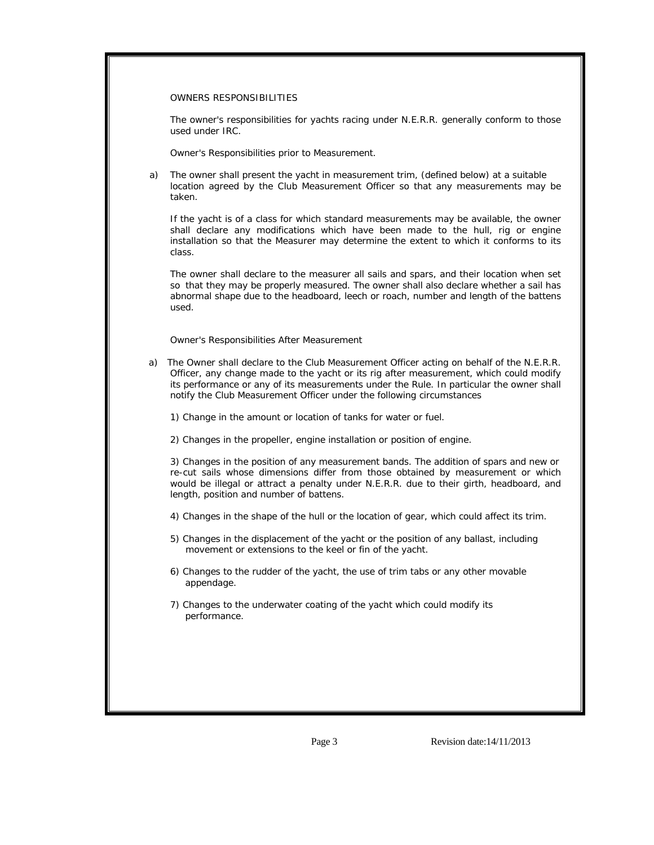### OWNERS RESPONSIBILITIES

The owner's responsibilities for yachts racing under N.E.R.R. generally conform to those used under IRC.

Owner's Responsibilities prior to Measurement.

a) The owner shall present the yacht in measurement trim, (defined below) at a suitable location agreed by the Club Measurement Officer so that any measurements may be taken.

If the yacht is of a class for which standard measurements may be available, the owner shall declare any modifications which have been made to the hull, rig or engine installation so that the Measurer may determine the extent to which it conforms to its class.

The owner shall declare to the measurer all sails and spars, and their location when set so that they may be properly measured. The owner shall also declare whether a sail has abnormal shape due to the headboard, leech or roach, number and length of the battens used.

Owner's Responsibilities After Measurement

- a) The Owner shall declare to the Club Measurement Officer acting on behalf of the N.E.R.R. Officer, any change made to the yacht or its rig after measurement, which could modify its performance or any of its measurements under the Rule. In particular the owner shall notify the Club Measurement Officer under the following circumstances
	- 1) Change in the amount or location of tanks for water or fuel.
	- 2) Changes in the propeller, engine installation or position of engine.

3) Changes in the position of any measurement bands. The addition of spars and new or re-cut sails whose dimensions differ from those obtained by measurement or which would be illegal or attract a penalty under N.E.R.R. due to their girth, headboard, and length, position and number of battens.

- 4) Changes in the shape of the hull or the location of gear, which could affect its trim.
- 5) Changes in the displacement of the yacht or the position of any ballast, including movement or extensions to the keel or fin of the yacht.
- 6) Changes to the rudder of the yacht, the use of trim tabs or any other movable appendage.
- 7) Changes to the underwater coating of the yacht which could modify its performance.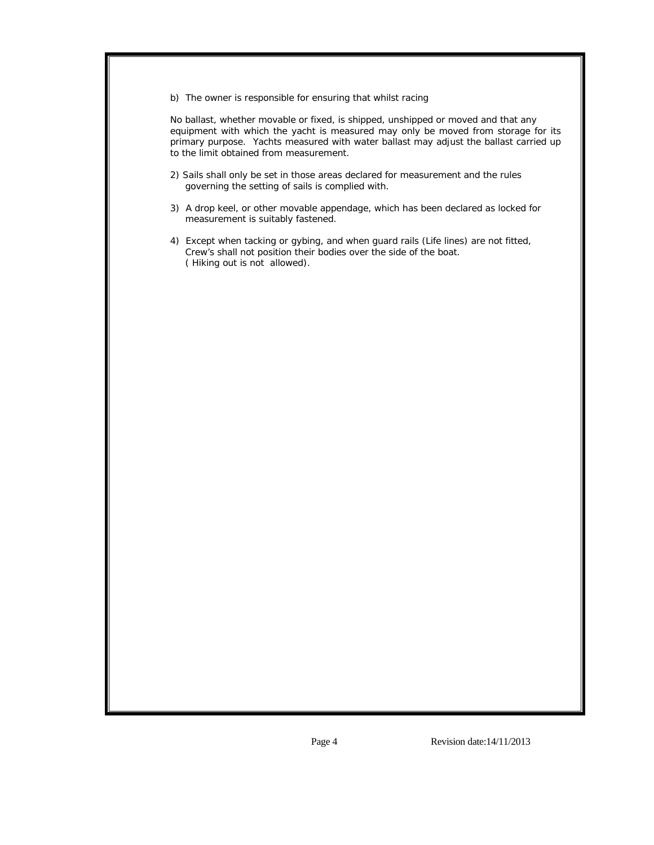b) The owner is responsible for ensuring that whilst racing

No ballast, whether movable or fixed, is shipped, unshipped or moved and that any equipment with which the yacht is measured may only be moved from storage for its primary purpose. Yachts measured with water ballast may adjust the ballast carried up to the limit obtained from measurement.

- 2) Sails shall only be set in those areas declared for measurement and the rules governing the setting of sails is complied with.
- 3) A drop keel, or other movable appendage, which has been declared as locked for measurement is suitably fastened.
- 4) Except when tacking or gybing, and when guard rails (Life lines) are not fitted, Crew's shall not position their bodies over the side of the boat. ( Hiking out is not allowed).

Page 4 Revision date:14/11/2013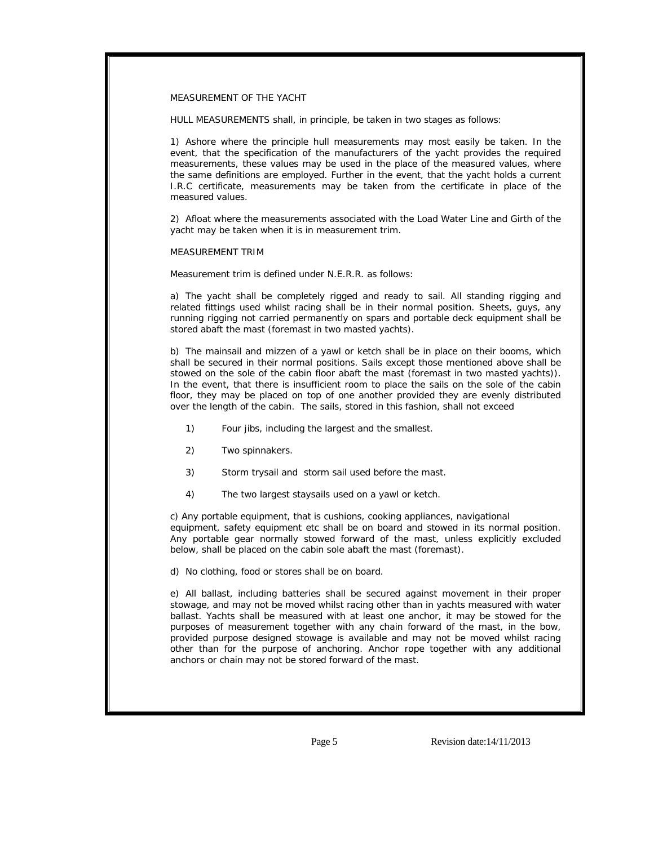#### MEASUREMENT OF THE YACHT

HULL MEASUREMENTS shall, in principle, be taken in two stages as follows:

1) Ashore where the principle hull measurements may most easily be taken. In the event, that the specification of the manufacturers of the yacht provides the required measurements, these values may be used in the place of the measured values, where the same definitions are employed. Further in the event, that the yacht holds a current I.R.C certificate, measurements may be taken from the certificate in place of the measured values.

2) Afloat where the measurements associated with the Load Water Line and Girth of the yacht may be taken when it is in measurement trim.

### MEASUREMENT TRIM

Measurement trim is defined under N.E.R.R. as follows:

a) The yacht shall be completely rigged and ready to sail. All standing rigging and related fittings used whilst racing shall be in their normal position. Sheets, guys, any running rigging not carried permanently on spars and portable deck equipment shall be stored abaft the mast (foremast in two masted yachts).

b) The mainsail and mizzen of a yawl or ketch shall be in place on their booms, which shall be secured in their normal positions. Sails except those mentioned above shall be stowed on the sole of the cabin floor abaft the mast (foremast in two masted yachts)). In the event, that there is insufficient room to place the sails on the sole of the cabin floor, they may be placed on top of one another provided they are evenly distributed over the length of the cabin. The sails, stored in this fashion, shall not exceed

- 1) Four jibs, including the largest and the smallest.
- 2) Two spinnakers.

I

- 3) Storm trysail and storm sail used before the mast.
- 4) The two largest staysails used on a yawl or ketch.

c) Any portable equipment, that is cushions, cooking appliances, navigational equipment, safety equipment etc shall be on board and stowed in its normal position. Any portable gear normally stowed forward of the mast, unless explicitly excluded below, shall be placed on the cabin sole abaft the mast (foremast).

d) No clothing, food or stores shall be on board.

e) All ballast, including batteries shall be secured against movement in their proper stowage, and may not be moved whilst racing other than in yachts measured with water ballast. Yachts shall be measured with at least one anchor, it may be stowed for the purposes of measurement together with any chain forward of the mast, in the bow, provided purpose designed stowage is available and may not be moved whilst racing other than for the purpose of anchoring. Anchor rope together with any additional anchors or chain may not be stored forward of the mast.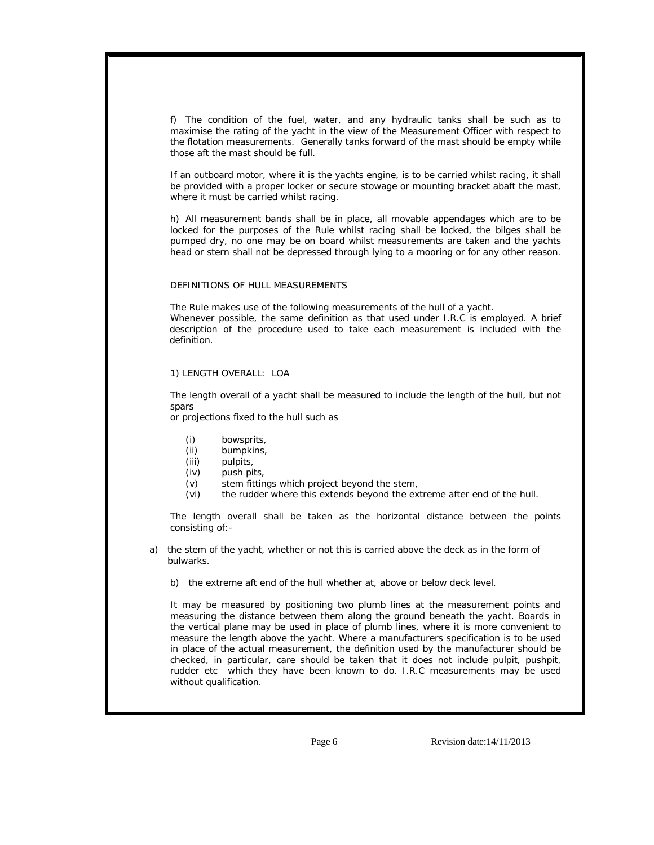f) The condition of the fuel, water, and any hydraulic tanks shall be such as to maximise the rating of the yacht in the view of the Measurement Officer with respect to the flotation measurements. Generally tanks forward of the mast should be empty while those aft the mast should be full.

If an outboard motor, where it is the yachts engine, is to be carried whilst racing, it shall be provided with a proper locker or secure stowage or mounting bracket abaft the mast, where it must be carried whilst racing.

h) All measurement bands shall be in place, all movable appendages which are to be locked for the purposes of the Rule whilst racing shall be locked, the bilges shall be pumped dry, no one may be on board whilst measurements are taken and the yachts head or stern shall not be depressed through lying to a mooring or for any other reason.

### DEFINITIONS OF HULL MEASUREMENTS

The Rule makes use of the following measurements of the hull of a yacht. Whenever possible, the same definition as that used under I.R.C is employed. A brief description of the procedure used to take each measurement is included with the definition.

# 1) LENGTH OVERALL: LOA

The length overall of a yacht shall be measured to include the length of the hull, but not spars

or projections fixed to the hull such as

- (i) bowsprits,
- (ii) bumpkins,
- (iii) pulpits,
- (iv) push pits,

I

- (v) stem fittings which project beyond the stem,
- (vi) the rudder where this extends beyond the extreme after end of the hull.

The length overall shall be taken as the horizontal distance between the points consisting of:-

- a) the stem of the yacht, whether or not this is carried above the deck as in the form of bulwarks.
	- b) the extreme aft end of the hull whether at, above or below deck level.

It may be measured by positioning two plumb lines at the measurement points and measuring the distance between them along the ground beneath the yacht. Boards in the vertical plane may be used in place of plumb lines, where it is more convenient to measure the length above the yacht. Where a manufacturers specification is to be used in place of the actual measurement, the definition used by the manufacturer should be checked, in particular, care should be taken that it does not include pulpit, pushpit, rudder etc which they have been known to do. I.R.C measurements may be used without qualification.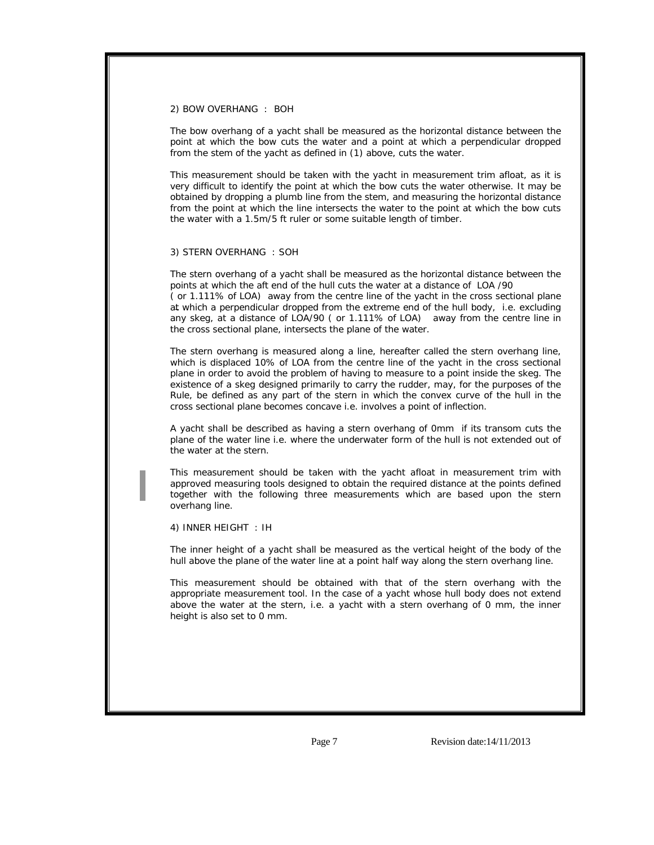#### 2) BOW OVERHANG : BOH

The bow overhang of a yacht shall be measured as the horizontal distance between the point at which the bow cuts the water and a point at which a perpendicular dropped from the stem of the yacht as defined in (1) above, cuts the water.

This measurement should be taken with the yacht in measurement trim afloat, as it is very difficult to identify the point at which the bow cuts the water otherwise. It may be obtained by dropping a plumb line from the stem, and measuring the horizontal distance from the point at which the line intersects the water to the point at which the bow cuts the water with a 1.5m/5 ft ruler or some suitable length of timber.

### 3) STERN OVERHANG : SOH

The stern overhang of a yacht shall be measured as the horizontal distance between the points at which the aft end of the hull cuts the water at a distance of LOA /90 ( or 1.111% of LOA) away from the centre line of the yacht in the cross sectional plane at which a perpendicular dropped from the extreme end of the hull body, i.e. excluding any skeg, at a distance of LOA/90 ( or 1.111% of LOA) away from the centre line in

the cross sectional plane, intersects the plane of the water.

The stern overhang is measured along a line, hereafter called the stern overhang line, which is displaced 10% of LOA from the centre line of the yacht in the cross sectional plane in order to avoid the problem of having to measure to a point inside the skeg. The existence of a skeg designed primarily to carry the rudder, may, for the purposes of the Rule, be defined as any part of the stern in which the convex curve of the hull in the cross sectional plane becomes concave i.e. involves a point of inflection.

A yacht shall be described as having a stern overhang of 0mm if its transom cuts the plane of the water line i.e. where the underwater form of the hull is not extended out of the water at the stern.

This measurement should be taken with the yacht afloat in measurement trim with approved measuring tools designed to obtain the required distance at the points defined together with the following three measurements which are based upon the stern overhang line.

### 4) INNER HEIGHT : IH

I

The inner height of a yacht shall be measured as the vertical height of the body of the hull above the plane of the water line at a point half way along the stern overhang line.

This measurement should be obtained with that of the stern overhang with the appropriate measurement tool. In the case of a yacht whose hull body does not extend above the water at the stern, i.e. a yacht with a stern overhang of 0 mm, the inner height is also set to 0 mm.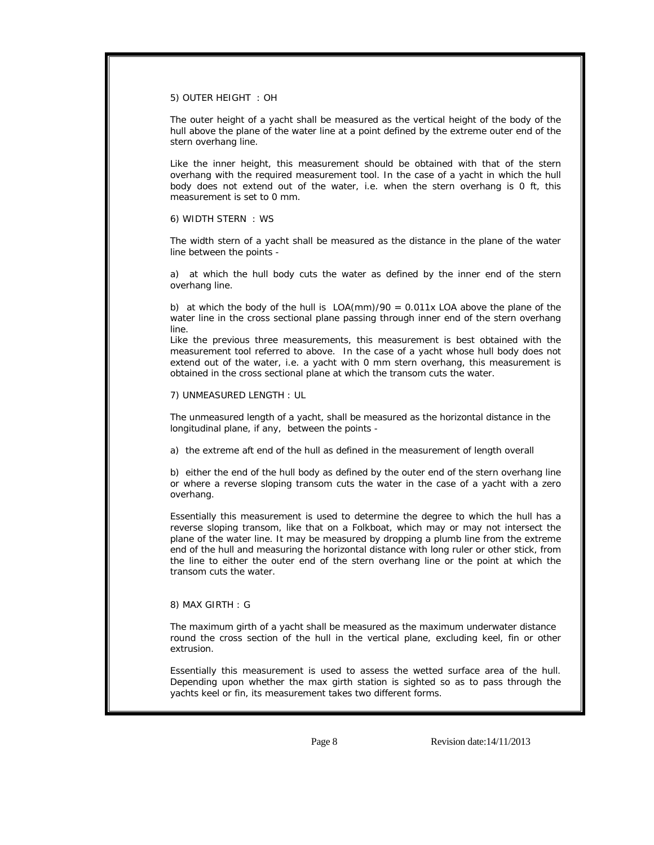5) OUTER HEIGHT : OH

The outer height of a yacht shall be measured as the vertical height of the body of the hull above the plane of the water line at a point defined by the extreme outer end of the stern overhang line.

Like the inner height, this measurement should be obtained with that of the stern overhang with the required measurement tool. In the case of a yacht in which the hull body does not extend out of the water, i.e. when the stern overhang is 0 ft, this measurement is set to 0 mm.

#### 6) WIDTH STERN : WS

The width stern of a yacht shall be measured as the distance in the plane of the water line between the points -

a) at which the hull body cuts the water as defined by the inner end of the stern overhang line.

b) at which the body of the hull is  $LOA(mm)/90 = 0.011x$  LOA above the plane of the water line in the cross sectional plane passing through inner end of the stern overhang line.

Like the previous three measurements, this measurement is best obtained with the measurement tool referred to above. In the case of a yacht whose hull body does not extend out of the water, i.e. a yacht with 0 mm stern overhang, this measurement is obtained in the cross sectional plane at which the transom cuts the water.

### 7) UNMEASURED LENGTH : UL

The unmeasured length of a yacht, shall be measured as the horizontal distance in the longitudinal plane, if any, between the points -

a) the extreme aft end of the hull as defined in the measurement of length overall

b) either the end of the hull body as defined by the outer end of the stern overhang line or where a reverse sloping transom cuts the water in the case of a yacht with a zero overhang.

Essentially this measurement is used to determine the degree to which the hull has a reverse sloping transom, like that on a Folkboat, which may or may not intersect the plane of the water line. It may be measured by dropping a plumb line from the extreme end of the hull and measuring the horizontal distance with long ruler or other stick, from the line to either the outer end of the stern overhang line or the point at which the transom cuts the water.

# 8) MAX GIRTH : G

I

The maximum girth of a yacht shall be measured as the maximum underwater distance round the cross section of the hull in the vertical plane, excluding keel, fin or other extrusion.

Essentially this measurement is used to assess the wetted surface area of the hull. Depending upon whether the max girth station is sighted so as to pass through the yachts keel or fin, its measurement takes two different forms.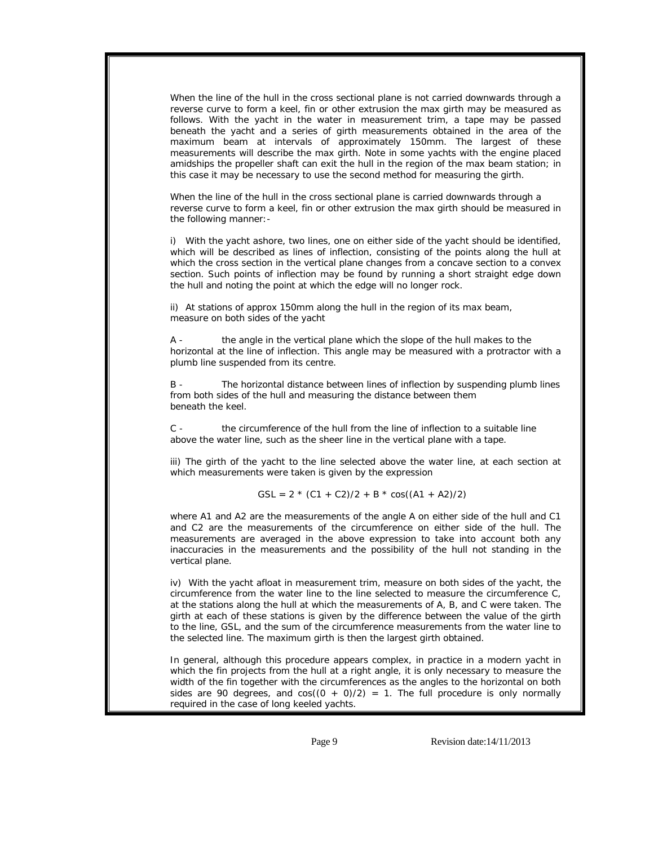When the line of the hull in the cross sectional plane is not carried downwards through a reverse curve to form a keel, fin or other extrusion the max girth may be measured as follows. With the yacht in the water in measurement trim, a tape may be passed beneath the yacht and a series of girth measurements obtained in the area of the maximum beam at intervals of approximately 150mm. The largest of these measurements will describe the max girth. Note in some yachts with the engine placed amidships the propeller shaft can exit the hull in the region of the max beam station; in this case it may be necessary to use the second method for measuring the girth.

When the line of the hull in the cross sectional plane is carried downwards through a reverse curve to form a keel, fin or other extrusion the max girth should be measured in the following manner:-

i) With the yacht ashore, two lines, one on either side of the yacht should be identified, which will be described as lines of inflection, consisting of the points along the hull at which the cross section in the vertical plane changes from a concave section to a convex section. Such points of inflection may be found by running a short straight edge down the hull and noting the point at which the edge will no longer rock.

ii) At stations of approx 150mm along the hull in the region of its max beam, measure on both sides of the yacht

A - the angle in the vertical plane which the slope of the hull makes to the horizontal at the line of inflection. This angle may be measured with a protractor with a plumb line suspended from its centre.

B - The horizontal distance between lines of inflection by suspending plumb lines from both sides of the hull and measuring the distance between them beneath the keel.

C - the circumference of the hull from the line of inflection to a suitable line above the water line, such as the sheer line in the vertical plane with a tape.

iii) The girth of the yacht to the line selected above the water line, at each section at which measurements were taken is given by the expression

GSL = 
$$
2 * (C1 + C2)/2 + B * cos((A1 + A2)/2)
$$

where A1 and A2 are the measurements of the angle A on either side of the hull and C1 and C2 are the measurements of the circumference on either side of the hull. The measurements are averaged in the above expression to take into account both any inaccuracies in the measurements and the possibility of the hull not standing in the vertical plane.

iv) With the yacht afloat in measurement trim, measure on both sides of the yacht, the circumference from the water line to the line selected to measure the circumference C, at the stations along the hull at which the measurements of A, B, and C were taken. The girth at each of these stations is given by the difference between the value of the girth to the line, GSL, and the sum of the circumference measurements from the water line to the selected line. The maximum girth is then the largest girth obtained.

In general, although this procedure appears complex, in practice in a modern yacht in which the fin projects from the hull at a right angle, it is only necessary to measure the width of the fin together with the circumferences as the angles to the horizontal on both sides are 90 degrees, and  $cos((0 + 0)/2) = 1$ . The full procedure is only normally required in the case of long keeled yachts.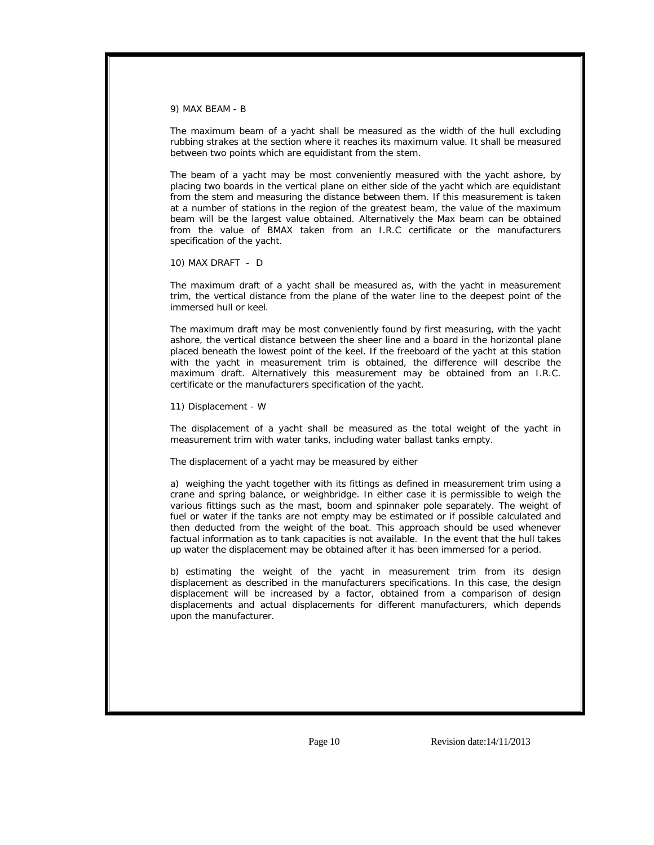9) MAX BEAM - B

The maximum beam of a yacht shall be measured as the width of the hull excluding rubbing strakes at the section where it reaches its maximum value. It shall be measured between two points which are equidistant from the stem.

The beam of a yacht may be most conveniently measured with the yacht ashore, by placing two boards in the vertical plane on either side of the yacht which are equidistant from the stem and measuring the distance between them. If this measurement is taken at a number of stations in the region of the greatest beam, the value of the maximum beam will be the largest value obtained. Alternatively the Max beam can be obtained from the value of BMAX taken from an I.R.C certificate or the manufacturers specification of the yacht.

10) MAX DRAFT - D

The maximum draft of a yacht shall be measured as, with the yacht in measurement trim, the vertical distance from the plane of the water line to the deepest point of the immersed hull or keel.

The maximum draft may be most conveniently found by first measuring, with the yacht ashore, the vertical distance between the sheer line and a board in the horizontal plane placed beneath the lowest point of the keel. If the freeboard of the yacht at this station with the yacht in measurement trim is obtained, the difference will describe the maximum draft. Alternatively this measurement may be obtained from an I.R.C. certificate or the manufacturers specification of the yacht.

11) Displacement - W

I

The displacement of a yacht shall be measured as the total weight of the yacht in measurement trim with water tanks, including water ballast tanks empty.

The displacement of a yacht may be measured by either

a) weighing the yacht together with its fittings as defined in measurement trim using a crane and spring balance, or weighbridge. In either case it is permissible to weigh the various fittings such as the mast, boom and spinnaker pole separately. The weight of fuel or water if the tanks are not empty may be estimated or if possible calculated and then deducted from the weight of the boat. This approach should be used whenever factual information as to tank capacities is not available. In the event that the hull takes up water the displacement may be obtained after it has been immersed for a period.

b) estimating the weight of the yacht in measurement trim from its design displacement as described in the manufacturers specifications. In this case, the design displacement will be increased by a factor, obtained from a comparison of design displacements and actual displacements for different manufacturers, which depends upon the manufacturer.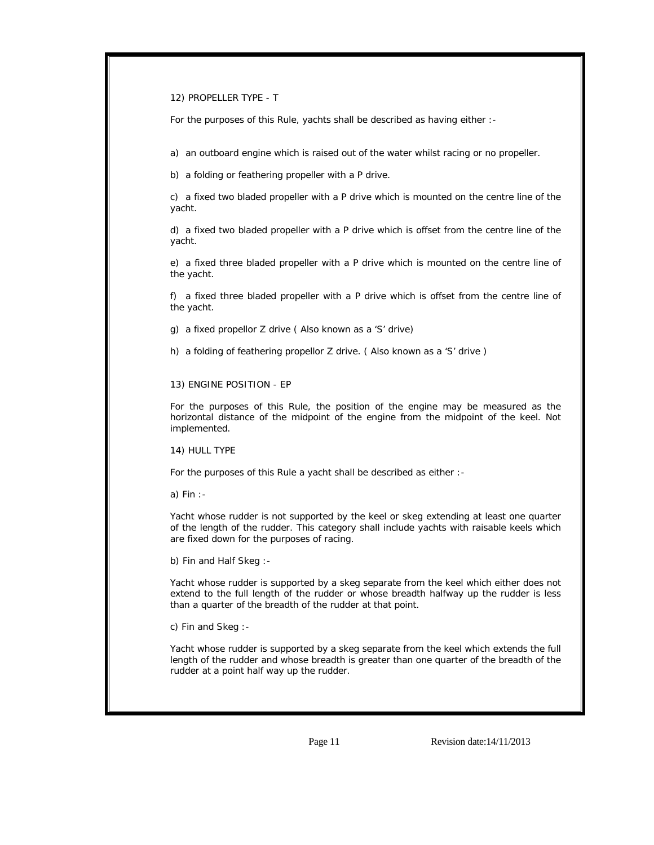12) PROPELLER TYPE - T

For the purposes of this Rule, yachts shall be described as having either :-

a) an outboard engine which is raised out of the water whilst racing or no propeller.

b) a folding or feathering propeller with a P drive.

c) a fixed two bladed propeller with a P drive which is mounted on the centre line of the yacht.

d) a fixed two bladed propeller with a P drive which is offset from the centre line of the yacht.

e) a fixed three bladed propeller with a P drive which is mounted on the centre line of the yacht.

f) a fixed three bladed propeller with a P drive which is offset from the centre line of the yacht.

g) a fixed propellor Z drive ( Also known as a 'S' drive)

h) a folding of feathering propellor Z drive. ( Also known as a 'S' drive )

#### 13) ENGINE POSITION - EP

For the purposes of this Rule, the position of the engine may be measured as the horizontal distance of the midpoint of the engine from the midpoint of the keel. Not implemented.

14) HULL TYPE

For the purposes of this Rule a yacht shall be described as either :-

a) Fin :-

Yacht whose rudder is not supported by the keel or skeg extending at least one quarter of the length of the rudder. This category shall include yachts with raisable keels which are fixed down for the purposes of racing.

b) Fin and Half Skeg :-

Yacht whose rudder is supported by a skeg separate from the keel which either does not extend to the full length of the rudder or whose breadth halfway up the rudder is less than a quarter of the breadth of the rudder at that point.

c) Fin and Skeg :-

I

Yacht whose rudder is supported by a skeg separate from the keel which extends the full length of the rudder and whose breadth is greater than one quarter of the breadth of the rudder at a point half way up the rudder.

Page 11 Revision date:14/11/2013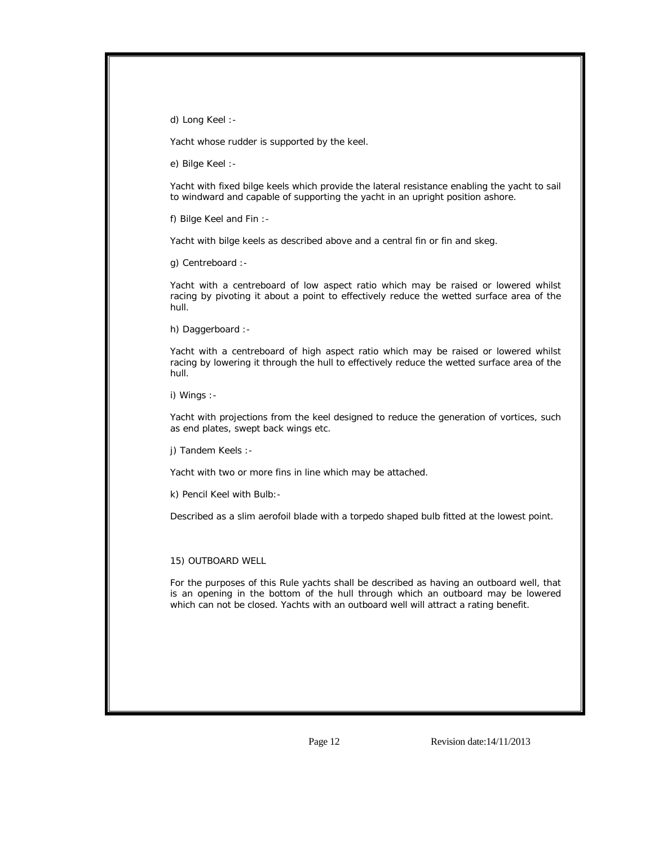d) Long Keel :-

Yacht whose rudder is supported by the keel.

e) Bilge Keel :-

Yacht with fixed bilge keels which provide the lateral resistance enabling the yacht to sail to windward and capable of supporting the yacht in an upright position ashore.

f) Bilge Keel and Fin :-

Yacht with bilge keels as described above and a central fin or fin and skeg.

g) Centreboard :-

Yacht with a centreboard of low aspect ratio which may be raised or lowered whilst racing by pivoting it about a point to effectively reduce the wetted surface area of the hull.

h) Daggerboard :-

Yacht with a centreboard of high aspect ratio which may be raised or lowered whilst racing by lowering it through the hull to effectively reduce the wetted surface area of the hull.

i) Wings :-

Yacht with projections from the keel designed to reduce the generation of vortices, such as end plates, swept back wings etc.

j) Tandem Keels :-

Yacht with two or more fins in line which may be attached.

k) Pencil Keel with Bulb:-

Described as a slim aerofoil blade with a torpedo shaped bulb fitted at the lowest point.

### 15) OUTBOARD WELL

I

For the purposes of this Rule yachts shall be described as having an outboard well, that is an opening in the bottom of the hull through which an outboard may be lowered which can not be closed. Yachts with an outboard well will attract a rating benefit.

Page 12 Revision date:14/11/2013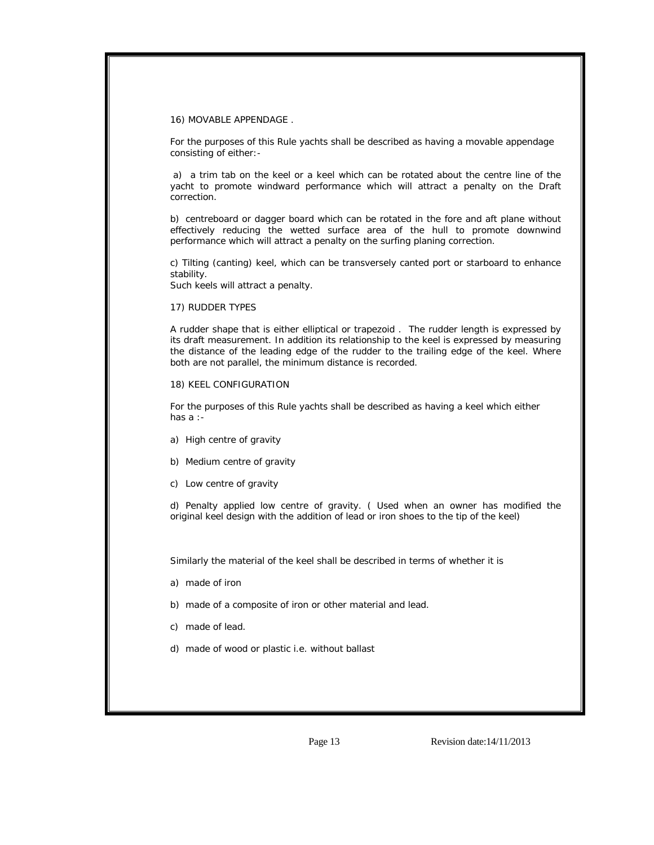16) MOVABLE APPENDAGE .

For the purposes of this Rule yachts shall be described as having a movable appendage consisting of either:-

 a) a trim tab on the keel or a keel which can be rotated about the centre line of the yacht to promote windward performance which will attract a penalty on the Draft correction.

b) centreboard or dagger board which can be rotated in the fore and aft plane without effectively reducing the wetted surface area of the hull to promote downwind performance which will attract a penalty on the surfing planing correction.

c) Tilting (canting) keel, which can be transversely canted port or starboard to enhance stability.

Such keels will attract a penalty.

### 17) RUDDER TYPES

A rudder shape that is either elliptical or trapezoid . The rudder length is expressed by its draft measurement. In addition its relationship to the keel is expressed by measuring the distance of the leading edge of the rudder to the trailing edge of the keel. Where both are not parallel, the minimum distance is recorded.

#### 18) KEEL CONFIGURATION

For the purposes of this Rule yachts shall be described as having a keel which either has a :-

- a) High centre of gravity
- b) Medium centre of gravity
- c) Low centre of gravity

d) Penalty applied low centre of gravity. ( Used when an owner has modified the original keel design with the addition of lead or iron shoes to the tip of the keel)

Similarly the material of the keel shall be described in terms of whether it is

- a) made of iron
- b) made of a composite of iron or other material and lead.
- c) made of lead.

I

d) made of wood or plastic i.e. without ballast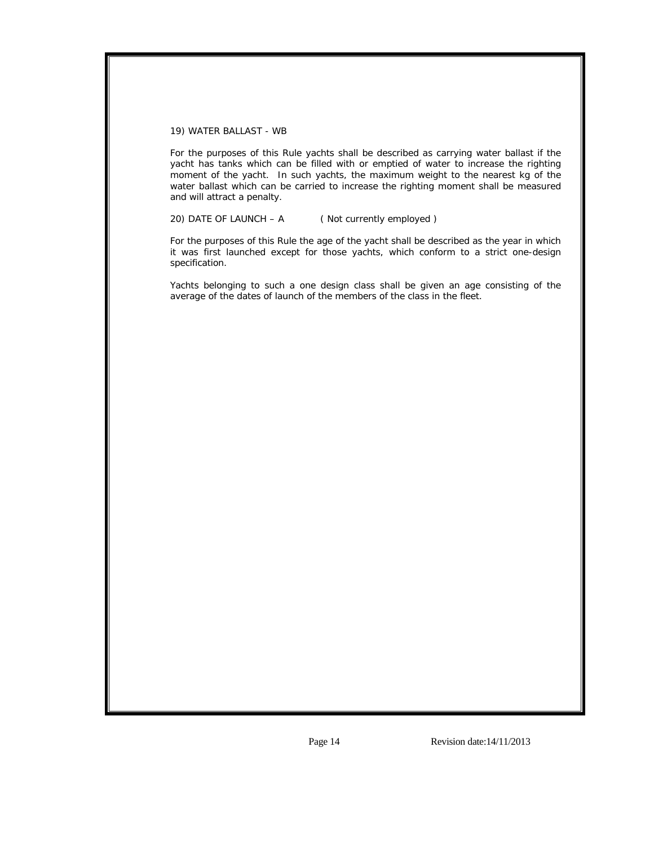# 19) WATER BALLAST - WB

For the purposes of this Rule yachts shall be described as carrying water ballast if the yacht has tanks which can be filled with or emptied of water to increase the righting moment of the yacht. In such yachts, the maximum weight to the nearest kg of the water ballast which can be carried to increase the righting moment shall be measured and will attract a penalty.

### 20) DATE OF LAUNCH – A *( Not currently employed )*

For the purposes of this Rule the age of the yacht shall be described as the year in which it was first launched except for those yachts, which conform to a strict one-design specification.

Yachts belonging to such a one design class shall be given an age consisting of the average of the dates of launch of the members of the class in the fleet.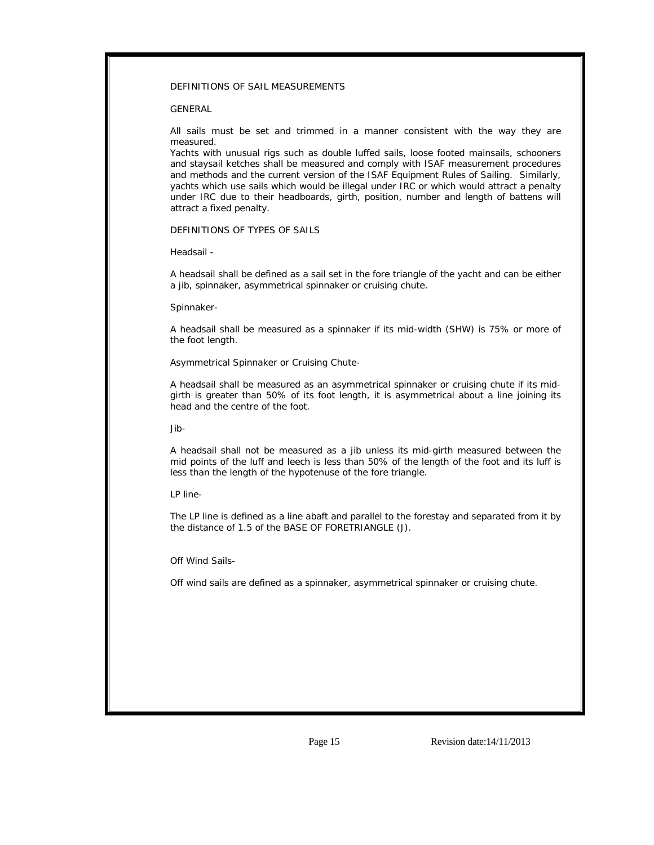### DEFINITIONS OF SAIL MEASUREMENTS

#### GENERAL

All sails must be set and trimmed in a manner consistent with the way they are measured.

Yachts with unusual rigs such as double luffed sails, loose footed mainsails, schooners and staysail ketches shall be measured and comply with ISAF measurement procedures and methods and the current version of the ISAF Equipment Rules of Sailing. Similarly, yachts which use sails which would be illegal under IRC or which would attract a penalty under IRC due to their headboards, girth, position, number and length of battens will attract a fixed penalty.

# DEFINITIONS OF TYPES OF SAILS

Headsail -

A headsail shall be defined as a sail set in the fore triangle of the yacht and can be either a jib, spinnaker, asymmetrical spinnaker or cruising chute.

#### Spinnaker-

A headsail shall be measured as a spinnaker if its mid-width (SHW) is 75% or more of the foot length.

Asymmetrical Spinnaker or Cruising Chute-

A headsail shall be measured as an asymmetrical spinnaker or cruising chute if its midgirth is greater than 50% of its foot length, it is asymmetrical about a line joining its head and the centre of the foot.

Jib-

A headsail shall not be measured as a jib unless its mid-girth measured between the mid points of the luff and leech is less than 50% of the length of the foot and its luff is less than the length of the hypotenuse of the fore triangle.

LP line-

I

The LP line is defined as a line abaft and parallel to the forestay and separated from it by the distance of 1.5 of the BASE OF FORETRIANGLE (J).

Off Wind Sails-

Off wind sails are defined as a spinnaker, asymmetrical spinnaker or cruising chute.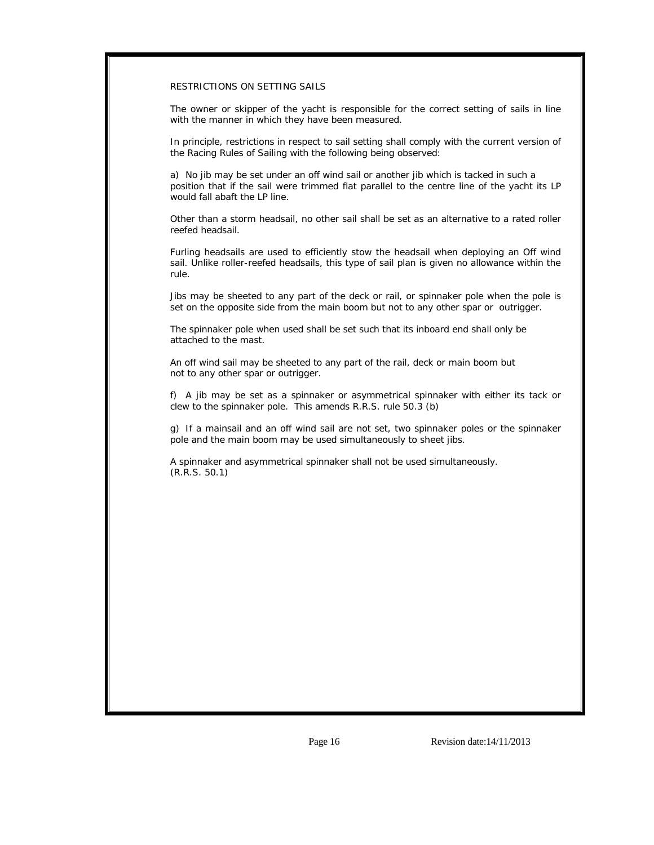RESTRICTIONS ON SETTING SAILS

The owner or skipper of the yacht is responsible for the correct setting of sails in line with the manner in which they have been measured.

In principle, restrictions in respect to sail setting shall comply with the current version of the Racing Rules of Sailing with the following being observed:

a) No jib may be set under an off wind sail or another jib which is tacked in such a position that if the sail were trimmed flat parallel to the centre line of the yacht its LP would fall abaft the LP line.

Other than a storm headsail, no other sail shall be set as an alternative to a rated roller reefed headsail.

Furling headsails are used to efficiently stow the headsail when deploying an Off wind sail. Unlike roller-reefed headsails, this type of sail plan is given no allowance within the rule.

Jibs may be sheeted to any part of the deck or rail, or spinnaker pole when the pole is set on the opposite side from the main boom but not to any other spar or outrigger.

The spinnaker pole when used shall be set such that its inboard end shall only be attached to the mast.

An off wind sail may be sheeted to any part of the rail, deck or main boom but not to any other spar or outrigger.

f) A jib may be set as a spinnaker or asymmetrical spinnaker with either its tack or clew to the spinnaker pole. *This amends R.R.S. rule 50.3 (b)* 

g) If a mainsail and an off wind sail are not set, two spinnaker poles or the spinnaker pole and the main boom may be used simultaneously to sheet jibs.

A spinnaker and asymmetrical spinnaker shall not be used simultaneously. (R.R.S. 50.1)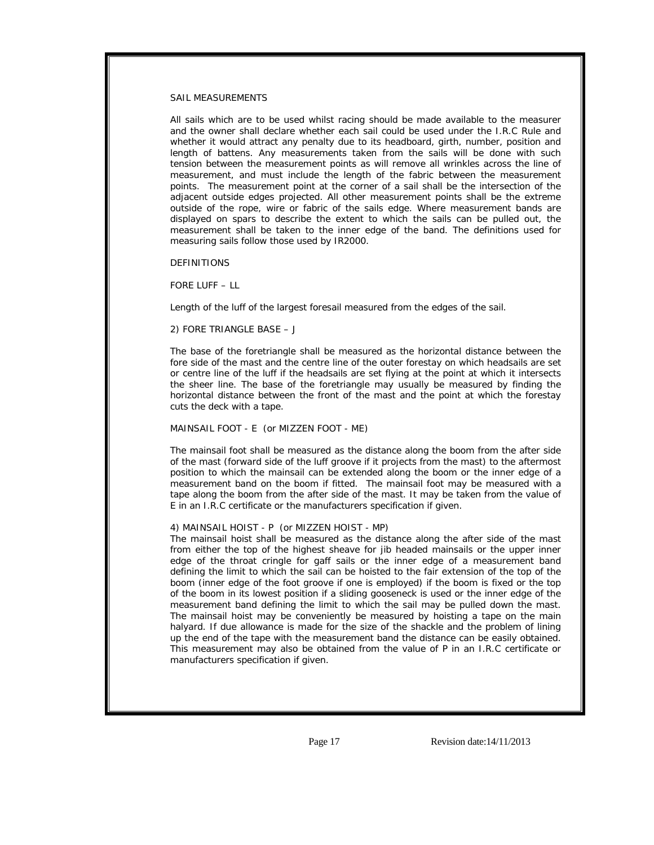#### SAIL MEASUREMENTS

All sails which are to be used whilst racing should be made available to the measurer and the owner shall declare whether each sail could be used under the I.R.C Rule and whether it would attract any penalty due to its headboard, girth, number, position and length of battens. Any measurements taken from the sails will be done with such tension between the measurement points as will remove all wrinkles across the line of measurement, and must include the length of the fabric between the measurement points. The measurement point at the corner of a sail shall be the intersection of the adjacent outside edges projected. All other measurement points shall be the extreme outside of the rope, wire or fabric of the sails edge. Where measurement bands are displayed on spars to describe the extent to which the sails can be pulled out, the measurement shall be taken to the inner edge of the band. The definitions used for measuring sails follow those used by IR2000.

#### DEFINITIONS

FORE LUFF – LL

I

Length of the luff of the largest foresail measured from the edges of the sail.

#### 2) FORE TRIANGLE BASE – J

The base of the foretriangle shall be measured as the horizontal distance between the fore side of the mast and the centre line of the outer forestay on which headsails are set or centre line of the luff if the headsails are set flying at the point at which it intersects the sheer line. The base of the foretriangle may usually be measured by finding the horizontal distance between the front of the mast and the point at which the forestay cuts the deck with a tape.

### MAINSAIL FOOT - E (or MIZZEN FOOT - ME)

The mainsail foot shall be measured as the distance along the boom from the after side of the mast (forward side of the luff groove if it projects from the mast) to the aftermost position to which the mainsail can be extended along the boom or the inner edge of a measurement band on the boom if fitted. The mainsail foot may be measured with a tape along the boom from the after side of the mast. It may be taken from the value of E in an I.R.C certificate or the manufacturers specification if given.

### 4) MAINSAIL HOIST - P (or MIZZEN HOIST - MP)

The mainsail hoist shall be measured as the distance along the after side of the mast from either the top of the highest sheave for jib headed mainsails or the upper inner edge of the throat cringle for gaff sails or the inner edge of a measurement band defining the limit to which the sail can be hoisted to the fair extension of the top of the boom (inner edge of the foot groove if one is employed) if the boom is fixed or the top of the boom in its lowest position if a sliding gooseneck is used or the inner edge of the measurement band defining the limit to which the sail may be pulled down the mast. The mainsail hoist may be conveniently be measured by hoisting a tape on the main halyard. If due allowance is made for the size of the shackle and the problem of lining up the end of the tape with the measurement band the distance can be easily obtained. This measurement may also be obtained from the value of P in an I.R.C certificate or manufacturers specification if given.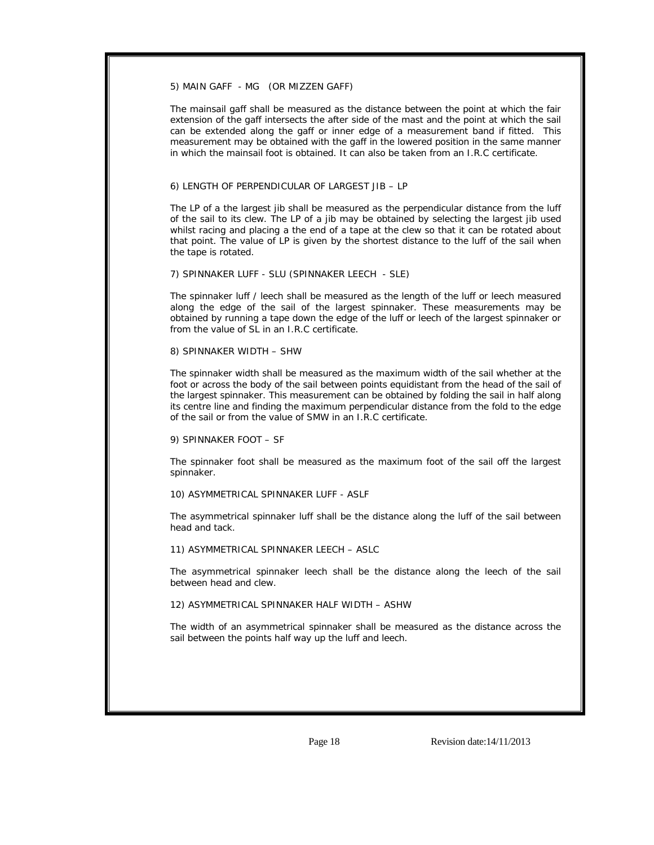### 5) MAIN GAFF - MG (OR MIZZEN GAFF)

The mainsail gaff shall be measured as the distance between the point at which the fair extension of the gaff intersects the after side of the mast and the point at which the sail can be extended along the gaff or inner edge of a measurement band if fitted. This measurement may be obtained with the gaff in the lowered position in the same manner in which the mainsail foot is obtained. It can also be taken from an I.R.C certificate.

### 6) LENGTH OF PERPENDICULAR OF LARGEST JIB – LP

The LP of a the largest jib shall be measured as the perpendicular distance from the luff of the sail to its clew. The LP of a jib may be obtained by selecting the largest jib used whilst racing and placing a the end of a tape at the clew so that it can be rotated about that point. The value of LP is given by the shortest distance to the luff of the sail when the tape is rotated.

### 7) SPINNAKER LUFF - SLU (SPINNAKER LEECH - SLE)

The spinnaker luff / leech shall be measured as the length of the luff or leech measured along the edge of the sail of the largest spinnaker. These measurements may be obtained by running a tape down the edge of the luff or leech of the largest spinnaker or from the value of SL in an I.R.C certificate.

# 8) SPINNAKER WIDTH – SHW

The spinnaker width shall be measured as the maximum width of the sail whether at the foot or across the body of the sail between points equidistant from the head of the sail of the largest spinnaker. This measurement can be obtained by folding the sail in half along its centre line and finding the maximum perpendicular distance from the fold to the edge of the sail or from the value of SMW in an I.R.C certificate.

### 9) SPINNAKER FOOT – SF

I

The spinnaker foot shall be measured as the maximum foot of the sail off the largest spinnaker.

### 10) ASYMMETRICAL SPINNAKER LUFF - ASLF

The asymmetrical spinnaker luff shall be the distance along the luff of the sail between head and tack.

### 11) ASYMMETRICAL SPINNAKER LEECH – ASLC

The asymmetrical spinnaker leech shall be the distance along the leech of the sail between head and clew.

#### 12) ASYMMETRICAL SPINNAKER HALF WIDTH – ASHW

The width of an asymmetrical spinnaker shall be measured as the distance across the sail between the points half way up the luff and leech.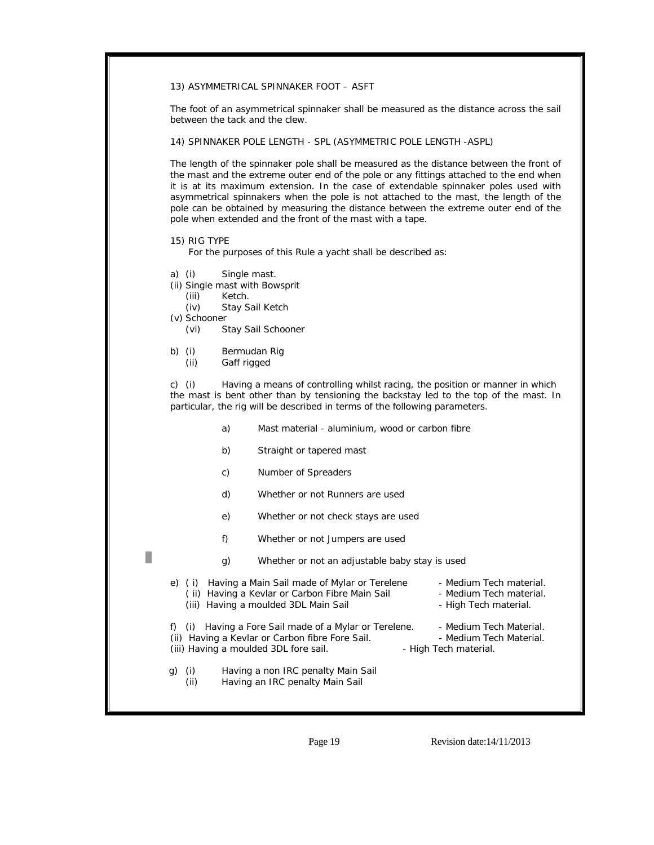13) ASYMMETRICAL SPINNAKER FOOT – ASFT

The foot of an asymmetrical spinnaker shall be measured as the distance across the sail between the tack and the clew.

14) SPINNAKER POLE LENGTH - SPL (ASYMMETRIC POLE LENGTH -ASPL)

The length of the spinnaker pole shall be measured as the distance between the front of the mast and the extreme outer end of the pole or any fittings attached to the end when it is at its maximum extension. In the case of extendable spinnaker poles used with asymmetrical spinnakers when the pole is not attached to the mast, the length of the pole can be obtained by measuring the distance between the extreme outer end of the pole when extended and the front of the mast with a tape.

15) RIG TYPE

For the purposes of this Rule a yacht shall be described as:

- a) (i) Single mast.
- (ii) Single mast with Bowsprit
	- (iii) Ketch.
	- (iv) Stay Sail Ketch
- (v) Schooner

I

- (vi) Stay Sail Schooner
- b) (i) Bermudan Rig
	- (ii) Gaff rigged

c) (i) Having a means of controlling whilst racing, the position or manner in which the mast is bent other than by tensioning the backstay led to the top of the mast. In particular, the rig will be described in terms of the following parameters.

 a) Mast material - aluminium, wood or carbon fibre b) Straight or tapered mast c) Number of Spreaders d) Whether or not Runners are used e) Whether or not check stays are used f) Whether or not Jumpers are used r. g) Whether or not an adjustable baby stay is used e) (i) Having a Main Sail made of Mylar or Terelene - Medium Tech material. (ii) Having a Kevlar or Carbon Fibre Main Sail - Medium Tech material. (iii) Having a moulded 3DL Main Sail - High Tech material. f) (i) Having a Fore Sail made of a Mylar or Terelene. - Medium Tech Material. (ii) Having a Kevlar or Carbon fibre Fore Sail. - Medium Tech Material. (iii) Having a moulded 3DL fore sail. - High Tech material. g) (i) Having a non IRC penalty Main Sail (ii) Having an IRC penalty Main Sail

Page 19 Revision date:14/11/2013